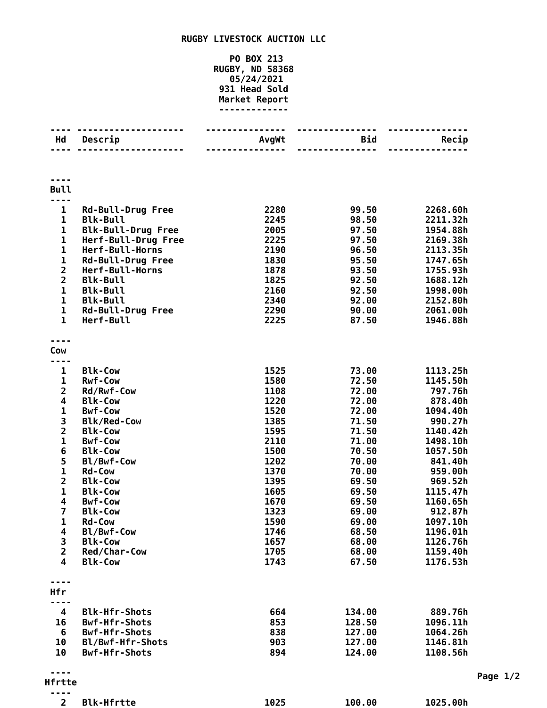## **RUGBY LIVESTOCK AUCTION LLC**

## **PO BOX 213 RUGBY, ND 58368 05/24/2021 Head Sold Market Report -------------**

| Hd                                                 | Descrip                            | AvgWt        | <b>Bid</b>     | Recip                |
|----------------------------------------------------|------------------------------------|--------------|----------------|----------------------|
|                                                    |                                    |              |                |                      |
|                                                    |                                    |              |                |                      |
|                                                    |                                    |              |                |                      |
| <b>Bull</b>                                        |                                    |              |                |                      |
| .                                                  |                                    |              |                |                      |
| 1                                                  | <b>Rd-Bull-Drug Free</b>           | 2280         | 99.50          | 2268.60h             |
| $\mathbf 1$                                        | <b>Blk-Bull</b>                    | 2245         | 98.50          | 2211.32h             |
| $\mathbf 1$                                        | <b>Blk-Bull-Drug Free</b>          | 2005         | 97.50          | 1954.88h             |
| $\mathbf 1$                                        | Herf-Bull-Drug Free                | 2225         | 97.50          | 2169.38h             |
| $\mathbf 1$                                        | Herf-Bull-Horns                    | 2190         | 96.50          | 2113.35h             |
| $\mathbf{1}$                                       | <b>Rd-Bull-Drug Free</b>           | 1830         | 95.50          | 1747.65h             |
| $\overline{\mathbf{c}}$                            | Herf-Bull-Horns                    | 1878         | 93.50          | 1755.93h             |
| $\overline{\mathbf{c}}$<br>$\mathbf 1$             | <b>Blk-Bull</b><br><b>Blk-Bull</b> | 1825<br>2160 | 92.50<br>92.50 | 1688.12h             |
| $\mathbf{1}$                                       | <b>Blk-Bull</b>                    | 2340         | 92.00          | 1998.00h<br>2152.80h |
| $\mathbf{1}$                                       | <b>Rd-Bull-Drug Free</b>           | 2290         | 90.00          | 2061.00h             |
| $\mathbf{1}$                                       | Herf-Bull                          | 2225         | 87.50          | 1946.88h             |
|                                                    |                                    |              |                |                      |
|                                                    |                                    |              |                |                      |
| Cow                                                |                                    |              |                |                      |
| .                                                  |                                    |              |                |                      |
| 1                                                  | <b>Blk-Cow</b>                     | 1525         | 73.00          | 1113.25h             |
| 1                                                  | <b>Rwf-Cow</b>                     | 1580         | 72.50          | 1145.50h             |
| $\overline{\mathbf{c}}$<br>$\overline{\mathbf{4}}$ | Rd/Rwf-Cow<br><b>Blk-Cow</b>       | 1108<br>1220 | 72.00<br>72.00 | 797.76h<br>878.40h   |
| $\mathbf{1}$                                       | <b>Bwf-Cow</b>                     | 1520         | 72.00          | 1094.40h             |
| 3                                                  | <b>Blk/Red-Cow</b>                 | 1385         | 71.50          | 990.27h              |
| $\overline{\mathbf{c}}$                            | <b>Blk-Cow</b>                     | 1595         | 71.50          | 1140.42h             |
| $\mathbf 1$                                        | <b>Bwf-Cow</b>                     | 2110         | 71.00          | 1498.10h             |
| 6                                                  | <b>Blk-Cow</b>                     | 1500         | 70.50          | 1057.50h             |
| 5                                                  | Bl/Bwf-Cow                         | 1202         | 70.00          | 841.40h              |
| $\mathbf{1}$                                       | <b>Rd-Cow</b>                      | 1370         | 70.00          | 959.00h              |
| $\overline{\mathbf{c}}$                            | <b>Blk-Cow</b>                     | 1395         | 69.50          | 969.52h              |
| $\mathbf 1$                                        | <b>Blk-Cow</b>                     | 1605         | 69.50          | 1115.47h             |
| 4                                                  | <b>Bwf-Cow</b>                     | 1670         | 69.50          | 1160.65h             |
| $\overline{7}$                                     | <b>Blk-Cow</b>                     | 1323         | 69.00          | 912.87h              |
| 1                                                  | Rd-Cow                             | 1590         | 69.00          | 1097.10h             |
| 4                                                  | Bl/Bwf-Cow                         | 1746         | 68.50          | 1196.01h             |
| 3                                                  | <b>Blk-Cow</b>                     | 1657         | 68.00          | 1126.76h             |
| $\overline{2}$                                     | Red/Char-Cow                       | 1705         | 68.00          | 1159.40h             |
| 4                                                  | <b>Blk-Cow</b>                     | 1743         | 67.50          | 1176.53h             |
|                                                    |                                    |              |                |                      |
| Hfr                                                |                                    |              |                |                      |
| ---                                                |                                    |              |                |                      |
| 4                                                  | <b>Blk-Hfr-Shots</b>               | 664          | 134.00         | 889.76h              |
| 16                                                 | <b>Bwf-Hfr-Shots</b>               | 853          | 128.50         | 1096.11h             |
| 6                                                  | <b>Bwf-Hfr-Shots</b>               | 838          | 127.00         | 1064.26h             |
| 10                                                 | Bl/Bwf-Hfr-Shots                   | 903          | 127.00         | 1146.81h             |
| 10                                                 | <b>Bwf-Hfr-Shots</b>               | 894          | 124.00         | 1108.56h             |
|                                                    |                                    |              |                |                      |
| <b>Hfrtte</b>                                      |                                    |              |                |                      |
|                                                    |                                    |              |                |                      |
| $\overline{2}$                                     | <b>Blk-Hfrtte</b>                  | 1025         | 100.00         | 1025.00h             |

**Page 1/2**